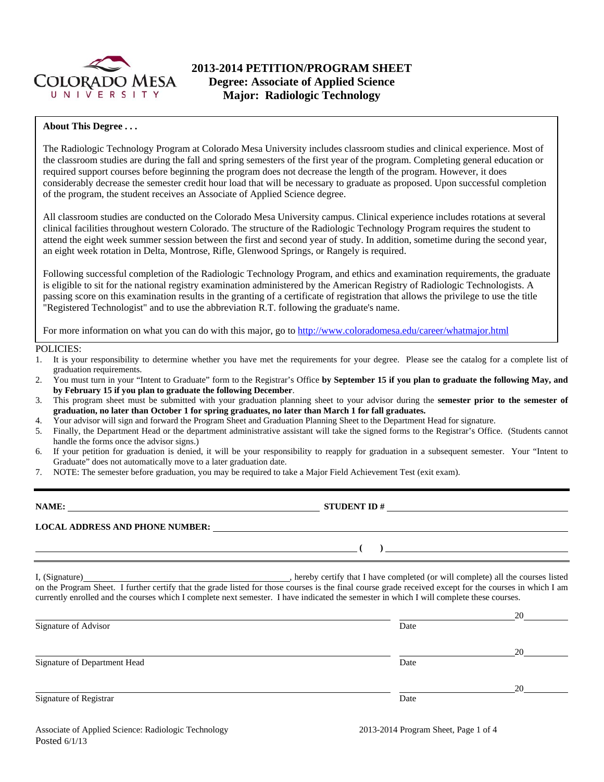

# **2013-2014 PETITION/PROGRAM SHEET Degree: Associate of Applied Science Major: Radiologic Technology**

### **About This Degree . . .**

The Radiologic Technology Program at Colorado Mesa University includes classroom studies and clinical experience. Most of the classroom studies are during the fall and spring semesters of the first year of the program. Completing general education or required support courses before beginning the program does not decrease the length of the program. However, it does considerably decrease the semester credit hour load that will be necessary to graduate as proposed. Upon successful completion of the program, the student receives an Associate of Applied Science degree.

All classroom studies are conducted on the Colorado Mesa University campus. Clinical experience includes rotations at several clinical facilities throughout western Colorado. The structure of the Radiologic Technology Program requires the student to attend the eight week summer session between the first and second year of study. In addition, sometime during the second year, an eight week rotation in Delta, Montrose, Rifle, Glenwood Springs, or Rangely is required.

Following successful completion of the Radiologic Technology Program, and ethics and examination requirements, the graduate is eligible to sit for the national registry examination administered by the American Registry of Radiologic Technologists. A passing score on this examination results in the granting of a certificate of registration that allows the privilege to use the title "Registered Technologist" and to use the abbreviation R.T. following the graduate's name.

For more information on what you can do with this major, go to http://www.coloradomesa.edu/career/whatmajor.html

#### POLICIES:

- 1. It is your responsibility to determine whether you have met the requirements for your degree. Please see the catalog for a complete list of graduation requirements.
- 2. You must turn in your "Intent to Graduate" form to the Registrar's Office **by September 15 if you plan to graduate the following May, and by February 15 if you plan to graduate the following December**.
- 3. This program sheet must be submitted with your graduation planning sheet to your advisor during the **semester prior to the semester of graduation, no later than October 1 for spring graduates, no later than March 1 for fall graduates.**
- 4. Your advisor will sign and forward the Program Sheet and Graduation Planning Sheet to the Department Head for signature.
- 5. Finally, the Department Head or the department administrative assistant will take the signed forms to the Registrar's Office. (Students cannot handle the forms once the advisor signs.)
- 6. If your petition for graduation is denied, it will be your responsibility to reapply for graduation in a subsequent semester. Your "Intent to Graduate" does not automatically move to a later graduation date.
- 7. NOTE: The semester before graduation, you may be required to take a Major Field Achievement Test (exit exam).

**NAME: STUDENT ID # LOCAL ADDRESS AND PHONE NUMBER: ( )** 

I, (Signature) , hereby certify that I have completed (or will complete) all the courses listed on the Program Sheet. I further certify that the grade listed for those courses is the final course grade received except for the courses in which I am currently enrolled and the courses which I complete next semester. I have indicated the semester in which I will complete these courses.

|                              |      | 20 |
|------------------------------|------|----|
| Signature of Advisor         | Date |    |
|                              |      | 20 |
| Signature of Department Head | Date |    |
|                              |      | 20 |
| Signature of Registrar       | Date |    |
|                              |      |    |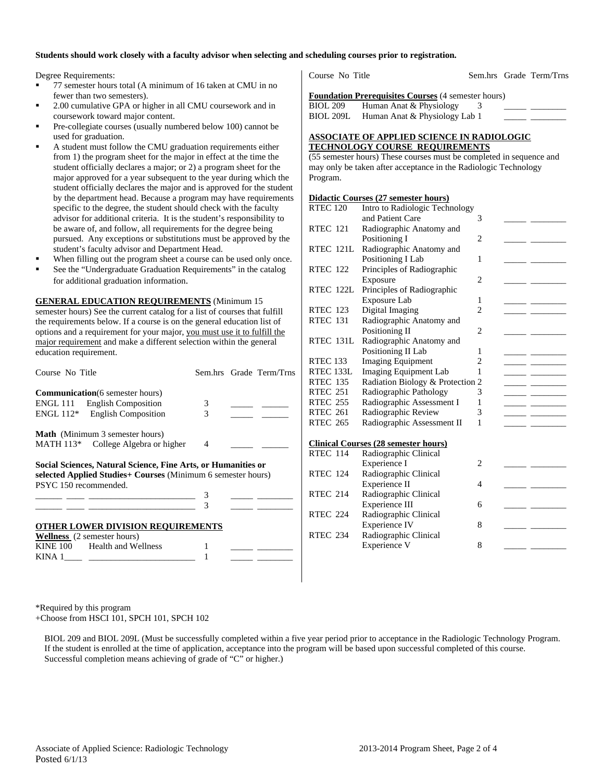#### **Students should work closely with a faculty advisor when selecting and scheduling courses prior to registration.**

Degree Requirements:

- 77 semester hours total (A minimum of 16 taken at CMU in no fewer than two semesters).
- 2.00 cumulative GPA or higher in all CMU coursework and in coursework toward major content.
- Pre-collegiate courses (usually numbered below 100) cannot be used for graduation.
- A student must follow the CMU graduation requirements either from 1) the program sheet for the major in effect at the time the student officially declares a major; or 2) a program sheet for the major approved for a year subsequent to the year during which the student officially declares the major and is approved for the student by the department head. Because a program may have requirements specific to the degree, the student should check with the faculty advisor for additional criteria. It is the student's responsibility to be aware of, and follow, all requirements for the degree being pursued. Any exceptions or substitutions must be approved by the student's faculty advisor and Department Head.
- When filling out the program sheet a course can be used only once.
- See the "Undergraduate Graduation Requirements" in the catalog for additional graduation information.

**GENERAL EDUCATION REQUIREMENTS** (Minimum 15 semester hours) See the current catalog for a list of courses that fulfill the requirements below. If a course is on the general education list of options and a requirement for your major, you must use it to fulfill the major requirement and make a different selection within the general education requirement.

| Course No Title                                                                                                                                                                                                                                                                                                                                                                                                                                                                 |   | Sem.hrs Grade Term/Trns |  |  |  |  |
|---------------------------------------------------------------------------------------------------------------------------------------------------------------------------------------------------------------------------------------------------------------------------------------------------------------------------------------------------------------------------------------------------------------------------------------------------------------------------------|---|-------------------------|--|--|--|--|
| <b>Communication</b> (6 semester hours)                                                                                                                                                                                                                                                                                                                                                                                                                                         |   |                         |  |  |  |  |
| ENGL 111 English Composition                                                                                                                                                                                                                                                                                                                                                                                                                                                    | 3 |                         |  |  |  |  |
| ENGL 112* English Composition                                                                                                                                                                                                                                                                                                                                                                                                                                                   | 3 |                         |  |  |  |  |
| <b>Math</b> (Minimum 3 semester hours)                                                                                                                                                                                                                                                                                                                                                                                                                                          |   |                         |  |  |  |  |
| MATH 113* College Algebra or higher                                                                                                                                                                                                                                                                                                                                                                                                                                             | 4 |                         |  |  |  |  |
| Social Sciences, Natural Science, Fine Arts, or Humanities or<br>selected Applied Studies+ Courses (Minimum 6 semester hours)<br>PSYC 150 recommended.                                                                                                                                                                                                                                                                                                                          |   |                         |  |  |  |  |
| $\begin{tabular}{lllllllllll} \multicolumn{3}{l}{} & \multicolumn{3}{l}{} & \multicolumn{3}{l}{} & \multicolumn{3}{l}{} & \multicolumn{3}{l}{} & \multicolumn{3}{l}{} & \multicolumn{3}{l}{} & \multicolumn{3}{l}{} & \multicolumn{3}{l}{} & \multicolumn{3}{l}{} & \multicolumn{3}{l}{} & \multicolumn{3}{l}{} & \multicolumn{3}{l}{} & \multicolumn{3}{l}{} & \multicolumn{3}{l}{} & \multicolumn{3}{l}{} & \multicolumn{3}{l}{} & \multicolumn{3}{l}{} & \multicolumn{3}{l}$ |   |                         |  |  |  |  |
|                                                                                                                                                                                                                                                                                                                                                                                                                                                                                 |   |                         |  |  |  |  |
| <b>OTHER LOWER DIVISION REQUIREMENTS</b>                                                                                                                                                                                                                                                                                                                                                                                                                                        |   |                         |  |  |  |  |
| <b>Wellness</b> (2 semester hours)                                                                                                                                                                                                                                                                                                                                                                                                                                              |   |                         |  |  |  |  |
| KINE 100 Health and Wellness                                                                                                                                                                                                                                                                                                                                                                                                                                                    |   |                         |  |  |  |  |
| $KINA$ 1                                                                                                                                                                                                                                                                                                                                                                                                                                                                        |   |                         |  |  |  |  |

Course No Title Sem.hrs Grade Term/Trns

**Foundation Prerequisites Courses** (4 semester hours)

BIOL 209 Human Anat & Physiology  $\frac{3}{2}$ BIOL 209L Human Anat & Physiology Lab 1

#### **ASSOCIATE OF APPLIED SCIENCE IN RADIOLOGIC TECHNOLOGY COURSE REQUIREMENTS**

(55 semester hours) These courses must be completed in sequence and may only be taken after acceptance in the Radiologic Technology Program.

#### **Didactic Courses (27 semester hours)**

| <b>RTEC 120</b>     | Intro to Radiologic Technology              |                |  |
|---------------------|---------------------------------------------|----------------|--|
|                     | and Patient Care                            | 3              |  |
| <b>RTEC 121</b>     | Radiographic Anatomy and                    |                |  |
|                     | Positioning I                               | $\overline{2}$ |  |
| RTEC 121L           | Radiographic Anatomy and                    |                |  |
|                     | Positioning I Lab                           | 1              |  |
| <b>RTEC 122</b>     | Principles of Radiographic                  |                |  |
|                     | Exposure                                    | $\overline{c}$ |  |
| RTEC 122L           | Principles of Radiographic                  |                |  |
|                     | Exposure Lab                                | 1              |  |
| <b>RTEC 123</b>     | Digital Imaging                             | $\overline{c}$ |  |
| <b>RTEC 131</b>     | Radiographic Anatomy and                    |                |  |
|                     | Positioning II                              | 2              |  |
| <b>RTEC 131L</b>    | Radiographic Anatomy and                    |                |  |
|                     | Positioning II Lab                          | 1              |  |
| RTEC <sub>133</sub> | <b>Imaging Equipment</b>                    | $\overline{c}$ |  |
| RTEC 133L           | Imaging Equipment Lab                       | 1              |  |
| <b>RTEC 135</b>     | Radiation Biology & Protection 2            |                |  |
| <b>RTEC 251</b>     | Radiographic Pathology                      | 3              |  |
| <b>RTEC 255</b>     | Radiographic Assessment I                   | 1              |  |
| <b>RTEC 261</b>     | Radiographic Review                         | 3              |  |
| <b>RTEC 265</b>     | Radiographic Assessment II                  | 1              |  |
|                     |                                             |                |  |
|                     | <b>Clinical Courses (28 semester hours)</b> |                |  |
| <b>RTEC 114</b>     | Radiographic Clinical                       |                |  |
|                     | Experience I                                | $\overline{c}$ |  |
| <b>RTEC 124</b>     | Radiographic Clinical                       |                |  |
|                     | Experience II                               | 4              |  |
| <b>RTEC 214</b>     | Radiographic Clinical                       |                |  |
|                     | Experience III                              | 6              |  |
| <b>RTEC 224</b>     | Radiographic Clinical                       |                |  |
| <b>RTEC 234</b>     | Experience IV                               | 8              |  |
|                     | Radiographic Clinical                       | 8              |  |
|                     | Experience V                                |                |  |

\*Required by this program +Choose from HSCI 101, SPCH 101, SPCH 102

 BIOL 209 and BIOL 209L (Must be successfully completed within a five year period prior to acceptance in the Radiologic Technology Program. If the student is enrolled at the time of application, acceptance into the program will be based upon successful completed of this course. Successful completion means achieving of grade of "C" or higher.)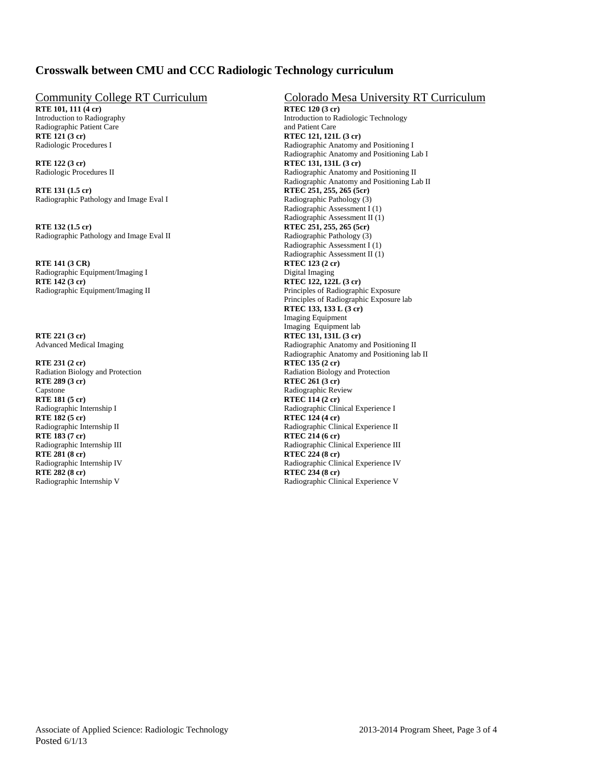## **Crosswalk between CMU and CCC Radiologic Technology curriculum**

**RTE 101, 111 (4 cr)** Radiographic Patient Care and Patient Care and Patient Care and Patient Care and Patient Care and Patient Care and Patient Care and Patient Care and Patient Care and Patient Care and Patient Care and Patient Care and Patie

**RTE 122 (3 cr)**<br>
Radiologic Procedures II<br>
Radiologic Procedures II<br>
Radiologic Procedures II

**RTE 131 (1.5 cr)**<br>
Radiographic Pathology and Image Eval I Radiographic Pathology (3)<br>
Radiographic Pathology (3) Radiographic Pathology and Image Eval I

Radiographic Pathology and Image Eval II

**RTE 141 (3 CR)**<br>Radiographic Equipment/Imaging I Digital Imaging Digital Imaging Radiographic Equipment/Imaging I<br>RTE 142 (3 cr) Radiographic Equipment/Imaging II Principles of Radiographic Exposure

**RTE 221 (3 cr)**<br>Advanced Medical Imaging<br>Radiographic Anatomy and Radiographic Anatomy and Radiographic Anatomy and Radiographic Anatomy and Radiographic Anatomy and Radiographic Anatomy and Radiographic Anatomy and Radio

Capstone Radiographic Review<br>
RTE 181 (5 cr) RTEC 114 (2 cr) **RTE 181 (5 cr)**<br>Radiographic Internship I<br>Radiographic Clin **RTE 183 (7 cr)**<br>
Radiographic Internship III<br>
Radiographic Clin **RTE 281 (8 cr) RTEC 224 (8 cr) RTE 282 (8 cr)**<br>
Radiographic Internship V<br>
Radiographic Clin

# Community College RT Curriculum<br>
RTE 101, 111 (4 cr) Colorado Mesa University RT Curriculum<br>
RTEC 120 (3 cr)

Introduction to Radiography Introduction to Radiologic Technology **RTE 121 (3 cr) RTEC 121, 121L (3 cr)**  Radiologic Procedures I Radiographic Anatomy and Positioning I Radiographic Anatomy and Positioning Lab I Radiographic Anatomy and Positioning II Radiographic Anatomy and Positioning Lab II Radiographic Assessment I (1) Radiographic Assessment II (1)<br>RTE 132 (1.5 cr) RTEC 251, 255, 265 (5cr) **RTEC 251, 255, 265 (5cr)** <br>Radiographic Pathology (3) Radiographic Assessment I (1) Radiographic Assessment II (1) **RTEC 122, 122L (3 cr)**  Principles of Radiographic Exposure lab **RTEC 133, 133 L (3 cr)**  Imaging Equipment Imaging Equipment lab Radiographic Anatomy and Positioning II Radiographic Anatomy and Positioning lab II<br>RTE 231 (2 cr)<br>RTEC 135 (2 cr) **RTEC 135 (2 cr)** Radiation Biology and Protection<br>
RTE 289 (3 cr) RTE 289 (3 cr) **RTEC 261 (3 cr)** Radiographic Internship I<br>
Radiographic Clinical Experience I<br>
RTEC 124 (4 cr)<br>
RTEC 124 (4 cr) **RTEC 124 (4 cr)** Radiographic Internship II Radiographic Clinical Experience II<br>
RTE 183 (7 cr) RTE 214 (6 cr) Radiographic Clinical Experience III Radiographic Internship IV<br>
RTE 282 (8 cr)<br>
RTE 282 (8 cr)<br>
RTE 234 (8 cr) Radiographic Clinical Experience V